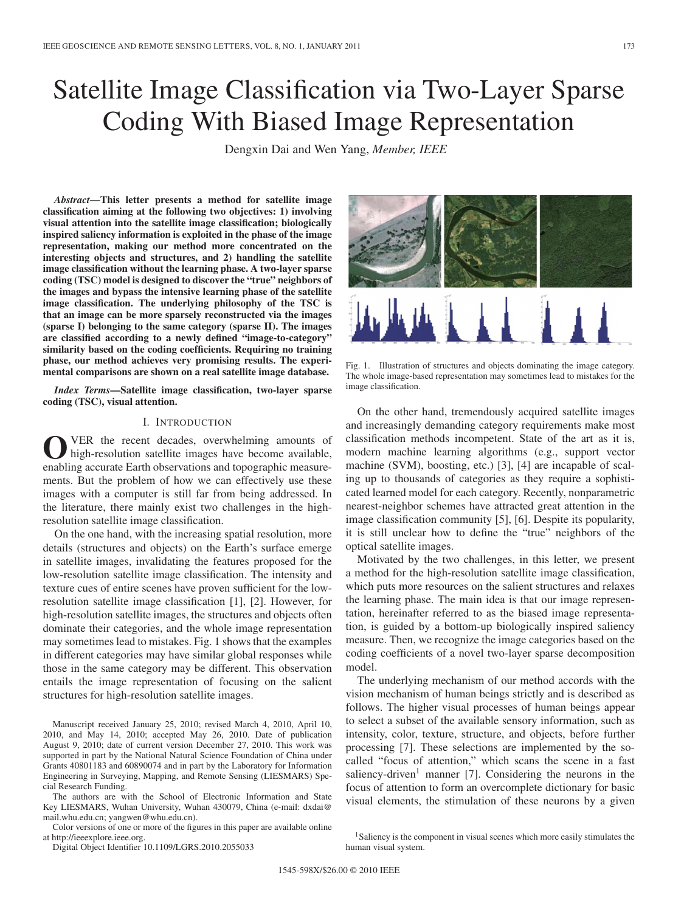# Satellite Image Classification via Two-Layer Sparse Coding With Biased Image Representation

Dengxin Dai and Wen Yang, *Member, IEEE*

*Abstract***—This letter presents a method for satellite image classification aiming at the following two objectives: 1) involving visual attention into the satellite image classification; biologically inspired saliency information is exploited in the phase of the image representation, making our method more concentrated on the interesting objects and structures, and 2) handling the satellite image classification without the learning phase. A two-layer sparse coding (TSC) model is designed to discover the "true" neighbors of the images and bypass the intensive learning phase of the satellite image classification. The underlying philosophy of the TSC is that an image can be more sparsely reconstructed via the images (sparse I) belonging to the same category (sparse II). The images are classified according to a newly defined "image-to-category" similarity based on the coding coefficients. Requiring no training phase, our method achieves very promising results. The experimental comparisons are shown on a real satellite image database.**

*Index Terms***—Satellite image classification, two-layer sparse coding (TSC), visual attention.**

#### I. INTRODUCTION

OVER the recent decades, overwhelming amounts of high-resolution satellite images have become available, enabling accurate Earth observations and topographic measurements. But the problem of how we can effectively use these images with a computer is still far from being addressed. In the literature, there mainly exist two challenges in the highresolution satellite image classification.

On the one hand, with the increasing spatial resolution, more details (structures and objects) on the Earth's surface emerge in satellite images, invalidating the features proposed for the low-resolution satellite image classification. The intensity and texture cues of entire scenes have proven sufficient for the lowresolution satellite image classification [1], [2]. However, for high-resolution satellite images, the structures and objects often dominate their categories, and the whole image representation may sometimes lead to mistakes. Fig. 1 shows that the examples in different categories may have similar global responses while those in the same category may be different. This observation entails the image representation of focusing on the salient structures for high-resolution satellite images.

Manuscript received January 25, 2010; revised March 4, 2010, April 10, 2010, and May 14, 2010; accepted May 26, 2010. Date of publication August 9, 2010; date of current version December 27, 2010. This work was supported in part by the National Natural Science Foundation of China under Grants 40801183 and 60890074 and in part by the Laboratory for Information Engineering in Surveying, Mapping, and Remote Sensing (LIESMARS) Special Research Funding.

The authors are with the School of Electronic Information and State Key LIESMARS, Wuhan University, Wuhan 430079, China (e-mail: dxdai@ mail.whu.edu.cn; yangwen@whu.edu.cn).

Color versions of one or more of the figures in this paper are available online at http://ieeexplore.ieee.org.

Digital Object Identifier 10.1109/LGRS.2010.2055033

Fig. 1. Illustration of structures and objects dominating the image category. The whole image-based representation may sometimes lead to mistakes for the image classification.

On the other hand, tremendously acquired satellite images and increasingly demanding category requirements make most classification methods incompetent. State of the art as it is, modern machine learning algorithms (e.g., support vector machine (SVM), boosting, etc.) [3], [4] are incapable of scaling up to thousands of categories as they require a sophisticated learned model for each category. Recently, nonparametric nearest-neighbor schemes have attracted great attention in the image classification community [5], [6]. Despite its popularity, it is still unclear how to define the "true" neighbors of the optical satellite images.

Motivated by the two challenges, in this letter, we present a method for the high-resolution satellite image classification, which puts more resources on the salient structures and relaxes the learning phase. The main idea is that our image representation, hereinafter referred to as the biased image representation, is guided by a bottom-up biologically inspired saliency measure. Then, we recognize the image categories based on the coding coefficients of a novel two-layer sparse decomposition model.

The underlying mechanism of our method accords with the vision mechanism of human beings strictly and is described as follows. The higher visual processes of human beings appear to select a subset of the available sensory information, such as intensity, color, texture, structure, and objects, before further processing [7]. These selections are implemented by the socalled "focus of attention," which scans the scene in a fast saliency-driven<sup>1</sup> manner [7]. Considering the neurons in the focus of attention to form an overcomplete dictionary for basic visual elements, the stimulation of these neurons by a given



<sup>&</sup>lt;sup>1</sup>Saliency is the component in visual scenes which more easily stimulates the human visual system.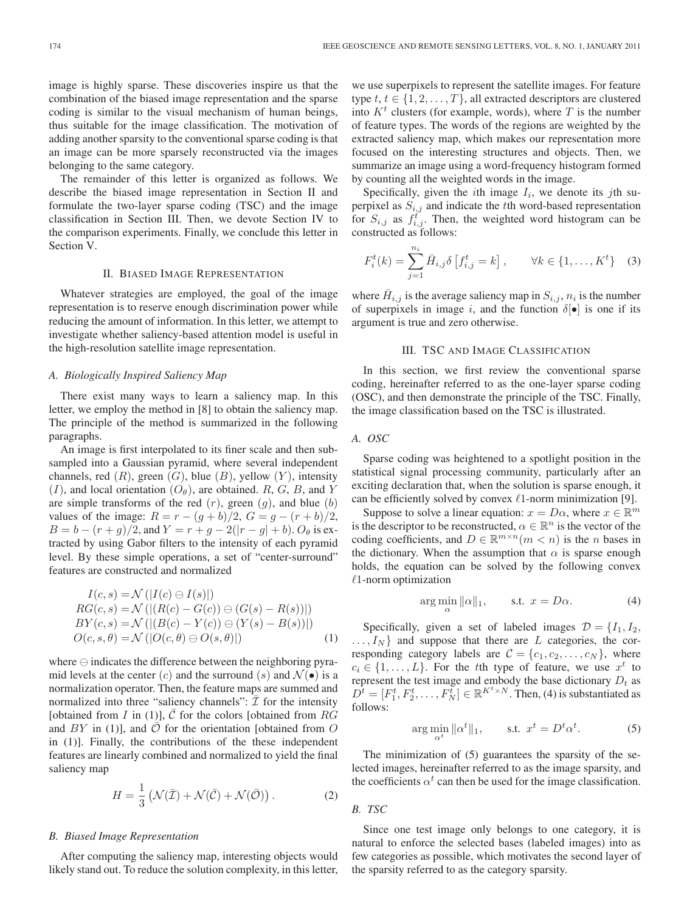image is highly sparse. These discoveries inspire us that the combination of the biased image representation and the sparse coding is similar to the visual mechanism of human beings, thus suitable for the image classification. The motivation of adding another sparsity to the conventional sparse coding is that an image can be more sparsely reconstructed via the images belonging to the same category.

The remainder of this letter is organized as follows. We describe the biased image representation in Section II and formulate the two-layer sparse coding (TSC) and the image classification in Section III. Then, we devote Section IV to the comparison experiments. Finally, we conclude this letter in Section V.

## II. BIASED IMAGE REPRESENTATION

Whatever strategies are employed, the goal of the image representation is to reserve enough discrimination power while reducing the amount of information. In this letter, we attempt to investigate whether saliency-based attention model is useful in the high-resolution satellite image representation.

#### *A. Biologically Inspired Saliency Map*

There exist many ways to learn a saliency map. In this letter, we employ the method in [8] to obtain the saliency map. The principle of the method is summarized in the following paragraphs.

An image is first interpolated to its finer scale and then subsampled into a Gaussian pyramid, where several independent channels, red  $(R)$ , green  $(G)$ , blue  $(B)$ , yellow  $(Y)$ , intensity  $(I)$ , and local orientation  $(O_{\theta})$ , are obtained. R, G, B, and Y are simple transforms of the red  $(r)$ , green  $(g)$ , and blue  $(b)$ values of the image:  $R = r - (g + b)/2$ ,  $G = g - (r + b)/2$ ,  $B = b - (r + g)/2$ , and  $Y = r + g - 2(|r - g| + b)$ .  $O_\theta$  is extracted by using Gabor filters to the intensity of each pyramid level. By these simple operations, a set of "center-surround" features are constructed and normalized

$$
I(c, s) = \mathcal{N} \left( |I(c) \ominus I(s)| \right)
$$
  
\n
$$
RG(c, s) = \mathcal{N} \left( |(R(c) - G(c)) \ominus (G(s) - R(s))| \right)
$$
  
\n
$$
BY(c, s) = \mathcal{N} \left( |(B(c) - Y(c)) \ominus (Y(s) - B(s))| \right)
$$
  
\n
$$
O(c, s, \theta) = \mathcal{N} \left( |O(c, \theta) \ominus O(s, \theta)| \right) \tag{1}
$$

where  $\ominus$  indicates the difference between the neighboring pyramid levels at the center (c) and the surround (s) and  $\mathcal{N}(\bullet)$  is a normalization operator. Then, the feature maps are summed and normalized into three "saliency channels":  $\overline{I}$  for the intensity [obtained from *I* in (1)],  $\overline{C}$  for the colors [obtained from RG and  $BY$  in (1)], and  $\overline{O}$  for the orientation [obtained from  $O$ in (1)]. Finally, the contributions of the these independent features are linearly combined and normalized to yield the final saliency map

$$
H = \frac{1}{3} \left( \mathcal{N}(\bar{\mathcal{I}}) + \mathcal{N}(\bar{\mathcal{C}}) + \mathcal{N}(\bar{\mathcal{O}}) \right).
$$
 (2)

# *B. Biased Image Representation*

After computing the saliency map, interesting objects would likely stand out. To reduce the solution complexity, in this letter, we use superpixels to represent the satellite images. For feature type  $t, t \in \{1, 2, \ldots, T\}$ , all extracted descriptors are clustered into  $K<sup>t</sup>$  clusters (for example, words), where T is the number of feature types. The words of the regions are weighted by the extracted saliency map, which makes our representation more focused on the interesting structures and objects. Then, we summarize an image using a word-frequency histogram formed by counting all the weighted words in the image.

Specifically, given the *i*th image  $I_i$ , we denote its *j*th superpixel as  $S_{i,j}$  and indicate the tth word-based representation for  $S_{i,j}$  as  $f_{i,j}^t$ . Then, the weighted word histogram can be constructed as follows:

$$
F_i^t(k) = \sum_{j=1}^{n_i} \bar{H}_{i,j} \delta \left[ f_{i,j}^t = k \right], \qquad \forall k \in \{1, ..., K^t\} \quad (3)
$$

where  $H_{i,j}$  is the average saliency map in  $S_{i,j}$ ,  $n_i$  is the number of superpixels in image i, and the function  $\delta[\bullet]$  is one if its argument is true and zero otherwise.

## III. TSC AND IMAGE CLASSIFICATION

In this section, we first review the conventional sparse coding, hereinafter referred to as the one-layer sparse coding (OSC), and then demonstrate the principle of the TSC. Finally, the image classification based on the TSC is illustrated.

## *A. OSC*

Sparse coding was heightened to a spotlight position in the statistical signal processing community, particularly after an exciting declaration that, when the solution is sparse enough, it can be efficiently solved by convex  $\ell$ 1-norm minimization [9].

Suppose to solve a linear equation:  $x = D\alpha$ , where  $x \in \mathbb{R}^m$ is the descriptor to be reconstructed,  $\alpha \in \mathbb{R}^n$  is the vector of the coding coefficients, and  $D \in \mathbb{R}^{m \times n}$  ( $m < n$ ) is the n bases in the dictionary. When the assumption that  $\alpha$  is sparse enough holds, the equation can be solved by the following convex  $\ell$ 1-norm optimization

$$
\arg\min_{\alpha} \|\alpha\|_1, \qquad \text{s.t. } x = D\alpha. \tag{4}
$$

Specifically, given a set of labeled images  $\mathcal{D} = \{I_1, I_2,$  $\ldots, I_N$  and suppose that there are L categories, the corresponding category labels are  $C = \{c_1, c_2, \ldots, c_N\}$ , where  $c_i \in \{1,\ldots,L\}$ . For the tth type of feature, we use  $x^t$  to represent the test image and embody the base dictionary  $D_t$  as  $D^{\tilde{t}} = [F_1^t, F_2^t, \dots, F_N^{\tilde{t}}] \in \mathbb{R}^{K^t \times N}$ . Then, (4) is substantiated as follows:

$$
\arg\min_{\alpha^t} \|\alpha^t\|_1, \qquad \text{s.t. } x^t = D^t \alpha^t. \tag{5}
$$

The minimization of (5) guarantees the sparsity of the selected images, hereinafter referred to as the image sparsity, and the coefficients  $\alpha^t$  can then be used for the image classification.

## *B. TSC*

Since one test image only belongs to one category, it is natural to enforce the selected bases (labeled images) into as few categories as possible, which motivates the second layer of the sparsity referred to as the category sparsity.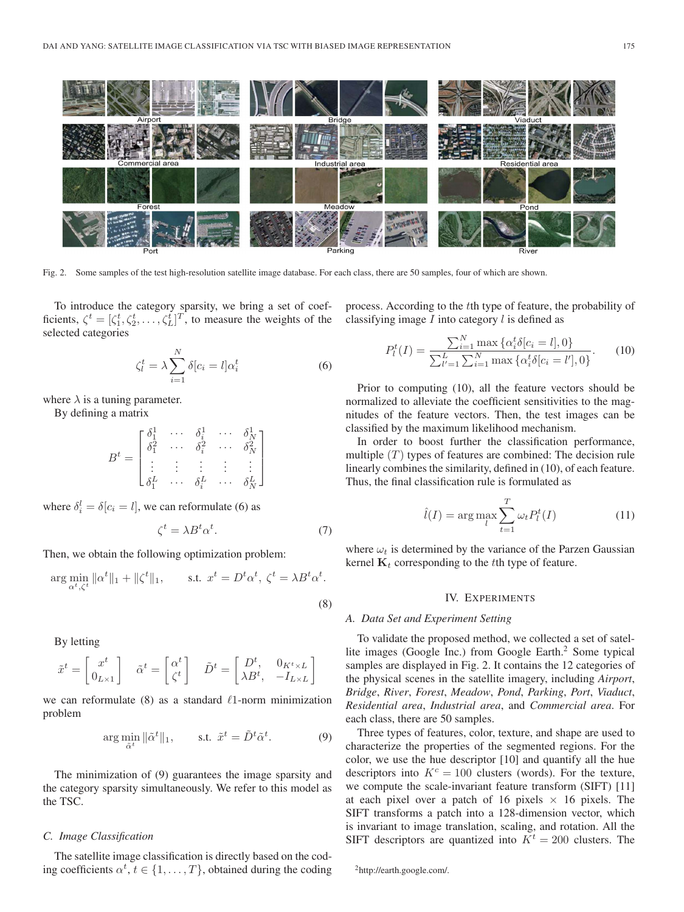

Fig. 2. Some samples of the test high-resolution satellite image database. For each class, there are 50 samples, four of which are shown.

To introduce the category sparsity, we bring a set of coefficients,  $\zeta^t = [\zeta_1^t, \zeta_2^t, \dots, \zeta_L^t]^T$ , to measure the weights of the classifying image I into category l is defined as selected categories

$$
\zeta_l^t = \lambda \sum_{i=1}^N \delta[c_i = l] \alpha_i^t \tag{6}
$$

where  $\lambda$  is a tuning parameter.

By defining a matrix

$$
B^t = \begin{bmatrix} \delta_1^1 & \cdots & \delta_i^1 & \cdots & \delta_N^1 \\ \delta_1^2 & \cdots & \delta_i^2 & \cdots & \delta_N^2 \\ \vdots & \vdots & \vdots & \vdots & \vdots \\ \delta_1^L & \cdots & \delta_i^L & \cdots & \delta_N^L \end{bmatrix}
$$

where  $\delta_i^l = \delta[c_i = l]$ , we can reformulate (6) as

$$
\zeta^t = \lambda B^t \alpha^t. \tag{7}
$$

Then, we obtain the following optimization problem:

$$
\arg\min_{\alpha^t,\zeta^t} \|\alpha^t\|_1 + \|\zeta^t\|_1, \qquad \text{s.t. } x^t = D^t \alpha^t, \ \zeta^t = \lambda B^t \alpha^t.
$$
\n
$$
(8)
$$

By letting

$$
\tilde{\boldsymbol{x}}^t = \begin{bmatrix} \boldsymbol{x}^t \\ \boldsymbol{0}_{L\times 1} \end{bmatrix} \quad \tilde{\boldsymbol{\alpha}}^t = \begin{bmatrix} \boldsymbol{\alpha}^t \\ \boldsymbol{\zeta}^t \end{bmatrix} \quad \tilde{\boldsymbol{D}}^t = \begin{bmatrix} \boldsymbol{D}^t, & \boldsymbol{0}_{K^t\times L} \\ \lambda \boldsymbol{B}^t, & -\boldsymbol{I}_{L\times L} \end{bmatrix}
$$

we can reformulate (8) as a standard  $\ell$ 1-norm minimization problem

$$
\arg\min_{\tilde{\alpha}^t} \|\tilde{\alpha}^t\|_1, \qquad \text{s.t. } \tilde{x}^t = \tilde{D}^t \tilde{\alpha}^t. \tag{9}
$$

The minimization of (9) guarantees the image sparsity and the category sparsity simultaneously. We refer to this model as the TSC.

# *C. Image Classification*

The satellite image classification is directly based on the coding coefficients  $\alpha^t, t \in \{1, \ldots, T\}$ , obtained during the coding process. According to the tth type of feature, the probability of

$$
P_l^t(I) = \frac{\sum_{i=1}^N \max \{ \alpha_i^t \delta[c_i = l], 0 \}}{\sum_{l'=1}^L \sum_{i=1}^N \max \{ \alpha_i^t \delta[c_i = l'], 0 \}}.
$$
 (10)

Prior to computing (10), all the feature vectors should be normalized to alleviate the coefficient sensitivities to the magnitudes of the feature vectors. Then, the test images can be classified by the maximum likelihood mechanism.

In order to boost further the classification performance, multiple  $(T)$  types of features are combined: The decision rule linearly combines the similarity, defined in (10), of each feature. Thus, the final classification rule is formulated as

$$
\hat{l}(I) = \arg\max_{l} \sum_{t=1}^{T} \omega_t P_l^t(I)
$$
\n(11)

where  $\omega_t$  is determined by the variance of the Parzen Gaussian kernel  $\mathbf{K}_t$  corresponding to the tth type of feature.

### IV. EXPERIMENTS

#### *A. Data Set and Experiment Setting*

To validate the proposed method, we collected a set of satellite images (Google Inc.) from Google Earth.<sup>2</sup> Some typical samples are displayed in Fig. 2. It contains the 12 categories of the physical scenes in the satellite imagery, including *Airport*, *Bridge*, *River*, *Forest*, *Meadow*, *Pond*, *Parking*, *Port*, *Viaduct*, *Residential area*, *Industrial area*, and *Commercial area*. For each class, there are 50 samples.

Three types of features, color, texture, and shape are used to characterize the properties of the segmented regions. For the color, we use the hue descriptor [10] and quantify all the hue descriptors into  $K^c = 100$  clusters (words). For the texture, we compute the scale-invariant feature transform (SIFT) [11] at each pixel over a patch of 16 pixels  $\times$  16 pixels. The SIFT transforms a patch into a 128-dimension vector, which is invariant to image translation, scaling, and rotation. All the SIFT descriptors are quantized into  $K<sup>t</sup> = 200$  clusters. The

<sup>2</sup>http://earth.google.com/.